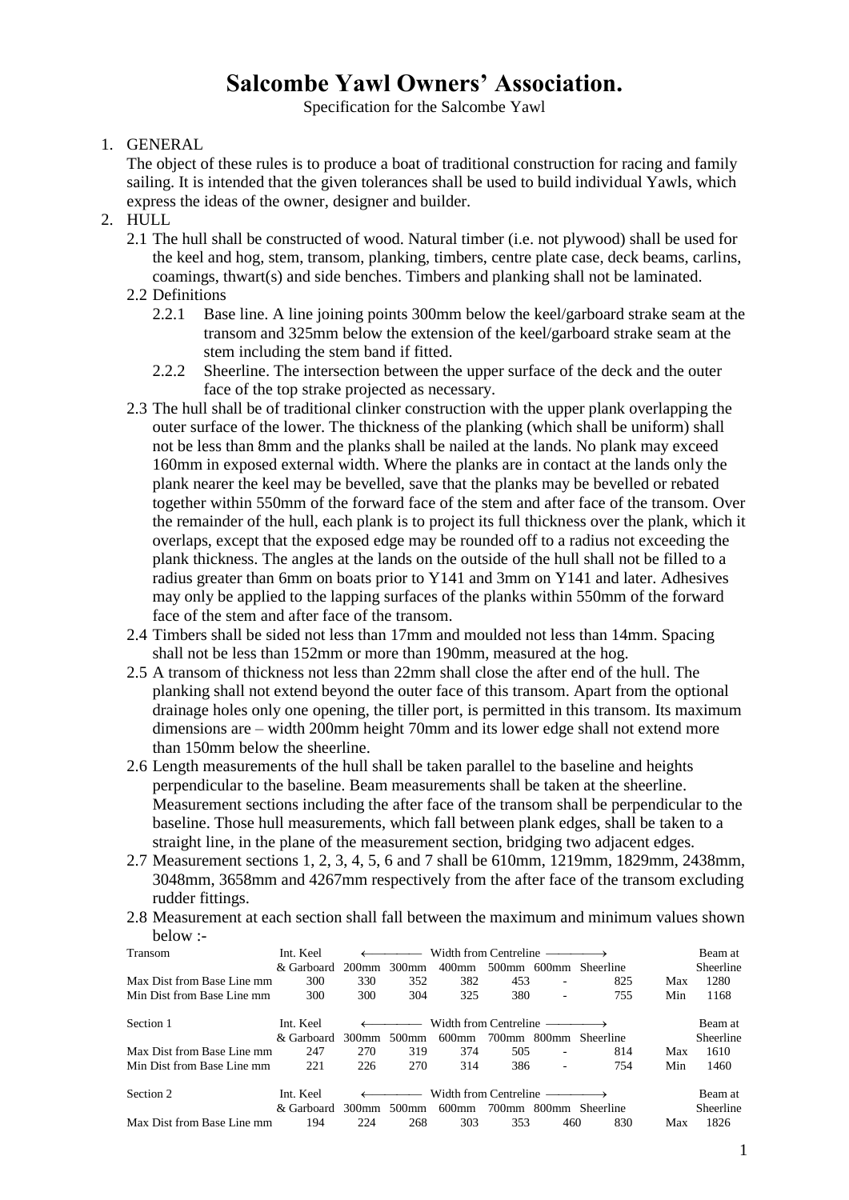# **Salcombe Yawl Owners' Association.**

Specification for the Salcombe Yawl

1. GENERAL

The object of these rules is to produce a boat of traditional construction for racing and family sailing. It is intended that the given tolerances shall be used to build individual Yawls, which express the ideas of the owner, designer and builder.

- 2. HULL
	- 2.1 The hull shall be constructed of wood. Natural timber (i.e. not plywood) shall be used for the keel and hog, stem, transom, planking, timbers, centre plate case, deck beams, carlins, coamings, thwart(s) and side benches. Timbers and planking shall not be laminated.
	- 2.2 Definitions
		- 2.2.1 Base line. A line joining points 300mm below the keel/garboard strake seam at the transom and 325mm below the extension of the keel/garboard strake seam at the stem including the stem band if fitted.
		- 2.2.2 Sheerline. The intersection between the upper surface of the deck and the outer face of the top strake projected as necessary.
	- 2.3 The hull shall be of traditional clinker construction with the upper plank overlapping the outer surface of the lower. The thickness of the planking (which shall be uniform) shall not be less than 8mm and the planks shall be nailed at the lands. No plank may exceed 160mm in exposed external width. Where the planks are in contact at the lands only the plank nearer the keel may be bevelled, save that the planks may be bevelled or rebated together within 550mm of the forward face of the stem and after face of the transom. Over the remainder of the hull, each plank is to project its full thickness over the plank, which it overlaps, except that the exposed edge may be rounded off to a radius not exceeding the plank thickness. The angles at the lands on the outside of the hull shall not be filled to a radius greater than 6mm on boats prior to Y141 and 3mm on Y141 and later. Adhesives may only be applied to the lapping surfaces of the planks within 550mm of the forward face of the stem and after face of the transom.
	- 2.4 Timbers shall be sided not less than 17mm and moulded not less than 14mm. Spacing shall not be less than 152mm or more than 190mm, measured at the hog.
	- 2.5 A transom of thickness not less than 22mm shall close the after end of the hull. The planking shall not extend beyond the outer face of this transom. Apart from the optional drainage holes only one opening, the tiller port, is permitted in this transom. Its maximum dimensions are – width 200mm height 70mm and its lower edge shall not extend more than 150mm below the sheerline.
	- 2.6 Length measurements of the hull shall be taken parallel to the baseline and heights perpendicular to the baseline. Beam measurements shall be taken at the sheerline. Measurement sections including the after face of the transom shall be perpendicular to the baseline. Those hull measurements, which fall between plank edges, shall be taken to a straight line, in the plane of the measurement section, bridging two adjacent edges.
	- 2.7 Measurement sections 1, 2, 3, 4, 5, 6 and 7 shall be 610mm, 1219mm, 1829mm, 2438mm, 3048mm, 3658mm and 4267mm respectively from the after face of the transom excluding rudder fittings.
	- 2.8 Measurement at each section shall fall between the maximum and minimum values shown below :-

| Transom                    | Int. Keel  | Width from Centreline $\longrightarrow$ |                                                                                                                                                                                                                                                                                                                                                                                                                                                                                                  |                                         |             |     | Beam at          |     |           |
|----------------------------|------------|-----------------------------------------|--------------------------------------------------------------------------------------------------------------------------------------------------------------------------------------------------------------------------------------------------------------------------------------------------------------------------------------------------------------------------------------------------------------------------------------------------------------------------------------------------|-----------------------------------------|-------------|-----|------------------|-----|-----------|
|                            | & Garboard | $200$ mm                                | 300 <sub>mm</sub>                                                                                                                                                                                                                                                                                                                                                                                                                                                                                | $400$ mm                                | 500mm 600mm |     | Sheerline        |     | Sheerline |
| Max Dist from Base Line mm | 300        | 330                                     | 352                                                                                                                                                                                                                                                                                                                                                                                                                                                                                              | 382                                     | 453         | ٠   | 825              | Max | 1280      |
| Min Dist from Base Line mm | 300        | 300                                     | 304                                                                                                                                                                                                                                                                                                                                                                                                                                                                                              | 325                                     | 380         | ٠   | 755              | Min | 1168      |
| Section 1                  | Int. Keel  |                                         | $\leftarrow$ $\leftarrow$ $\leftarrow$ $\leftarrow$ $\leftarrow$ $\leftarrow$ $\leftarrow$ $\leftarrow$ $\leftarrow$ $\leftarrow$ $\leftarrow$ $\leftarrow$ $\leftarrow$ $\leftarrow$ $\leftarrow$ $\leftarrow$ $\leftarrow$ $\leftarrow$ $\leftarrow$ $\leftarrow$ $\leftarrow$ $\leftarrow$ $\leftarrow$ $\leftarrow$ $\leftarrow$ $\leftarrow$ $\leftarrow$ $\leftarrow$ $\leftarrow$ $\leftarrow$ $\leftarrow$ $\leftarrow$ $\leftarrow$ $\leftarrow$ $\leftarrow$ $\leftarrow$ $\leftarrow$ | Width from Centreline $\longrightarrow$ |             |     |                  |     | Beam at   |
|                            | & Garboard | 300mm                                   | 500mm                                                                                                                                                                                                                                                                                                                                                                                                                                                                                            | 600mm                                   | 700mm 800mm |     | Sheerline        |     | Sheerline |
| Max Dist from Base Line mm | 247        | 270                                     | 319                                                                                                                                                                                                                                                                                                                                                                                                                                                                                              | 374                                     | 505         | ۰   | 814              | Max | 1610      |
| Min Dist from Base Line mm | 221        | 226                                     | 270                                                                                                                                                                                                                                                                                                                                                                                                                                                                                              | 314                                     | 386         | ۰   | 754              | Min | 1460      |
| Section 2                  | Int. Keel  |                                         | $\leftarrow$ $\leftarrow$ $\leftarrow$ $\leftarrow$ $\leftarrow$ $\leftarrow$ $\leftarrow$ $\leftarrow$ $\leftarrow$ $\leftarrow$ $\leftarrow$ $\leftarrow$ $\leftarrow$ $\leftarrow$ $\leftarrow$ $\leftarrow$ $\leftarrow$ $\leftarrow$ $\leftarrow$ $\leftarrow$ $\leftarrow$ $\leftarrow$ $\leftarrow$ $\leftarrow$ $\leftarrow$ $\leftarrow$ $\leftarrow$ $\leftarrow$ $\leftarrow$ $\leftarrow$ $\leftarrow$ $\leftarrow$ $\leftarrow$ $\leftarrow$ $\leftarrow$ $\leftarrow$ $\leftarrow$ | Width from Centreline $\longrightarrow$ |             |     |                  |     | Beam at   |
|                            | & Garboard | 300mm                                   | 500 <sub>mm</sub>                                                                                                                                                                                                                                                                                                                                                                                                                                                                                | 600mm                                   | 700mm 800mm |     | <b>Sheerline</b> |     | Sheerline |
| Max Dist from Base Line mm | 194        | 224                                     | 268                                                                                                                                                                                                                                                                                                                                                                                                                                                                                              | 303                                     | 353         | 460 | 830              | Max | 1826      |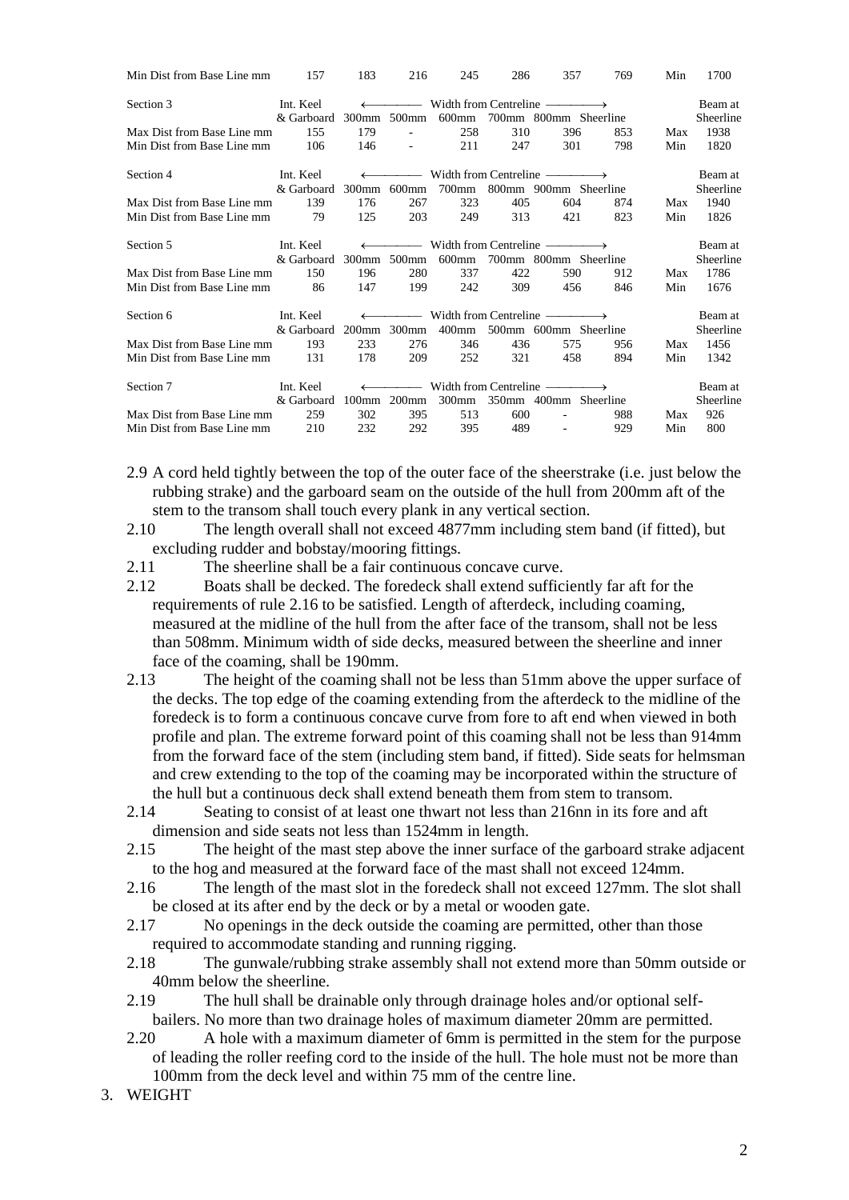| Min Dist from Base Line mm | 157                                                                        | 183                                                           | 216                      | 245      | 286 | 357                                                       | 769     | Min | 1700      |
|----------------------------|----------------------------------------------------------------------------|---------------------------------------------------------------|--------------------------|----------|-----|-----------------------------------------------------------|---------|-----|-----------|
| Section 3                  | Int. Keel                                                                  | $\longleftrightarrow$ Width from Centreline $\longrightarrow$ |                          |          |     |                                                           |         |     | Beam at   |
|                            | & Garboard                                                                 |                                                               | 300mm 500mm              | 600mm    |     | 700mm 800mm Sheerline                                     |         |     | Sheerline |
| Max Dist from Base Line mm | 155                                                                        | 179                                                           | $\sim$                   | 258      | 310 | 396                                                       | 853     | Max | 1938      |
| Min Dist from Base Line mm | 106                                                                        | 146                                                           | $\overline{\phantom{a}}$ | 211      | 247 | 301                                                       | 798     | Min | 1820      |
| Section 4                  | $\longleftrightarrow$ Width from Centreline $\longrightarrow$<br>Int. Keel |                                                               |                          |          |     |                                                           | Beam at |     |           |
|                            | & Garboard                                                                 | 300 <sub>mm</sub>                                             | $600$ mm                 | 700mm    |     | 800mm 900mm Sheerline                                     |         |     | Sheerline |
| Max Dist from Base Line mm | 139                                                                        | 176                                                           | 267                      | 323      | 405 | 604                                                       | 874     | Max | 1940      |
| Min Dist from Base Line mm | 79                                                                         | 125                                                           | 203                      | 249      | 313 | 421                                                       | 823     | Min | 1826      |
| Section 5                  | Int. Keel                                                                  |                                                               |                          |          |     | $\longrightarrow$ Width from Centreline $\longrightarrow$ |         |     | Beam at   |
|                            | & Garboard                                                                 | 300mm                                                         | 500mm                    | 600mm    |     | 700mm 800mm Sheerline                                     |         |     | Sheerline |
| Max Dist from Base Line mm | 150                                                                        | 196                                                           | 280                      | 337      | 422 | 590                                                       | 912     | Max | 1786      |
| Min Dist from Base Line mm | 86                                                                         | 147                                                           | 199                      | 242      | 309 | 456                                                       | 846     | Min | 1676      |
| Section 6                  | Int. Keel                                                                  | $\leftarrow$                                                  | $\overline{\phantom{a}}$ |          |     | Width from Centreline $\longrightarrow$                   |         |     | Beam at   |
|                            | & Garboard                                                                 | $200$ mm                                                      | $300$ mm                 | 400mm    |     | 500mm 600mm Sheerline                                     |         |     | Sheerline |
| Max Dist from Base Line mm | 193                                                                        | 233                                                           | 276                      | 346      | 436 | 575                                                       | 956     | Max | 1456      |
| Min Dist from Base Line mm | 131                                                                        | 178                                                           | 209                      | 252      | 321 | 458                                                       | 894     | Min | 1342      |
| Section 7                  | Int. Keel                                                                  |                                                               | $\frac{1}{2}$            |          |     | Width from Centreline ——                                  |         |     | Beam at   |
|                            | & Garboard                                                                 | $100$ mm                                                      | $200$ mm                 | $300$ mm |     | 350mm 400mm Sheerline                                     |         |     | Sheerline |
| Max Dist from Base Line mm | 259                                                                        | 302                                                           | 395                      | 513      | 600 |                                                           | 988     | Max | 926       |
| Min Dist from Base Line mm | 210                                                                        | 232                                                           | 292                      | 395      | 489 | $\overline{\phantom{a}}$                                  | 929     | Min | 800       |
|                            |                                                                            |                                                               |                          |          |     |                                                           |         |     |           |

- 2.9 A cord held tightly between the top of the outer face of the sheerstrake (i.e. just below the rubbing strake) and the garboard seam on the outside of the hull from 200mm aft of the stem to the transom shall touch every plank in any vertical section.
- 2.10 The length overall shall not exceed 4877mm including stem band (if fitted), but excluding rudder and bobstay/mooring fittings.
- 2.11 The sheerline shall be a fair continuous concave curve.
- 2.12 Boats shall be decked. The foredeck shall extend sufficiently far aft for the requirements of rule 2.16 to be satisfied. Length of afterdeck, including coaming, measured at the midline of the hull from the after face of the transom, shall not be less than 508mm. Minimum width of side decks, measured between the sheerline and inner face of the coaming, shall be 190mm.
- 2.13 The height of the coaming shall not be less than 51mm above the upper surface of the decks. The top edge of the coaming extending from the afterdeck to the midline of the foredeck is to form a continuous concave curve from fore to aft end when viewed in both profile and plan. The extreme forward point of this coaming shall not be less than 914mm from the forward face of the stem (including stem band, if fitted). Side seats for helmsman and crew extending to the top of the coaming may be incorporated within the structure of the hull but a continuous deck shall extend beneath them from stem to transom.
- 2.14 Seating to consist of at least one thwart not less than 216nn in its fore and aft dimension and side seats not less than 1524mm in length.
- 2.15 The height of the mast step above the inner surface of the garboard strake adjacent to the hog and measured at the forward face of the mast shall not exceed 124mm.
- 2.16 The length of the mast slot in the foredeck shall not exceed 127mm. The slot shall be closed at its after end by the deck or by a metal or wooden gate.
- 2.17 No openings in the deck outside the coaming are permitted, other than those required to accommodate standing and running rigging.
- 2.18 The gunwale/rubbing strake assembly shall not extend more than 50mm outside or 40mm below the sheerline.
- 2.19 The hull shall be drainable only through drainage holes and/or optional selfbailers. No more than two drainage holes of maximum diameter 20mm are permitted.
- 2.20 A hole with a maximum diameter of 6mm is permitted in the stem for the purpose of leading the roller reefing cord to the inside of the hull. The hole must not be more than 100mm from the deck level and within 75 mm of the centre line.
- 3. WEIGHT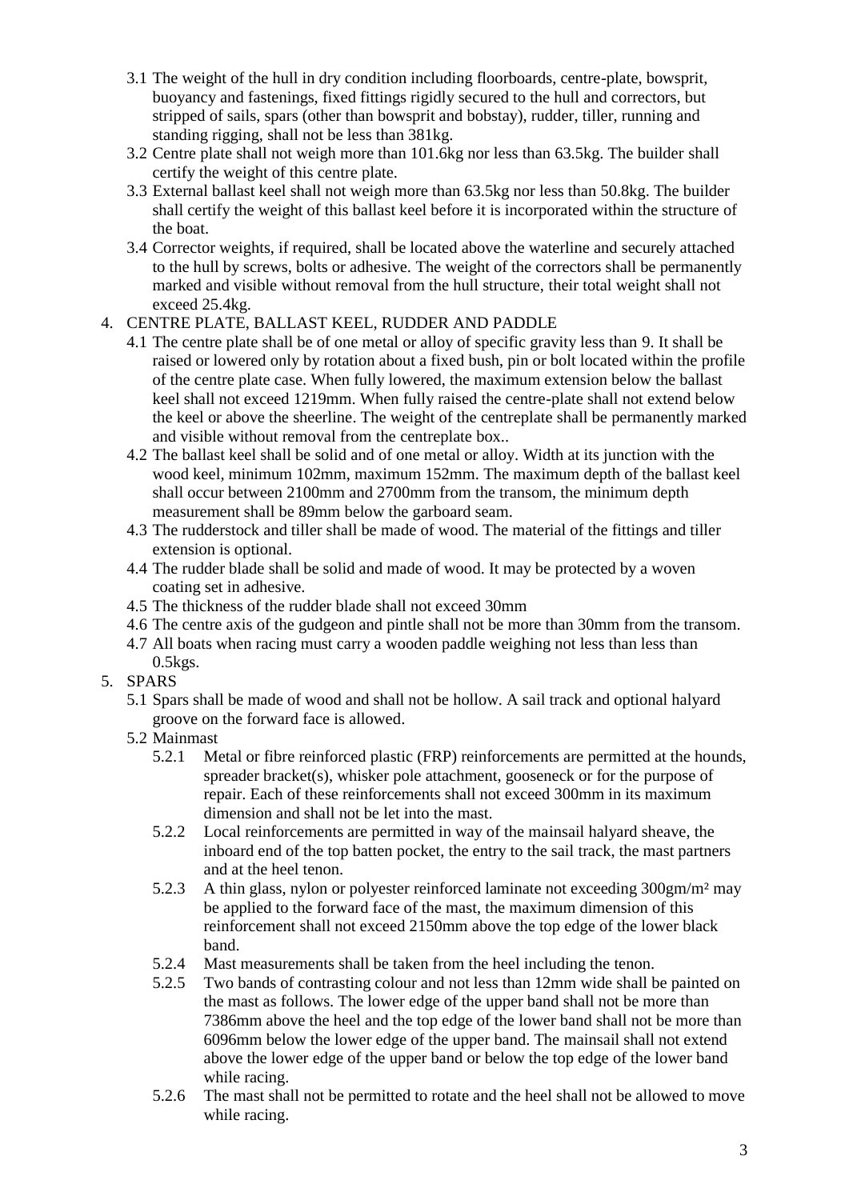- 3.1 The weight of the hull in dry condition including floorboards, centre-plate, bowsprit, buoyancy and fastenings, fixed fittings rigidly secured to the hull and correctors, but stripped of sails, spars (other than bowsprit and bobstay), rudder, tiller, running and standing rigging, shall not be less than 381kg.
- 3.2 Centre plate shall not weigh more than 101.6kg nor less than 63.5kg. The builder shall certify the weight of this centre plate.
- 3.3 External ballast keel shall not weigh more than 63.5kg nor less than 50.8kg. The builder shall certify the weight of this ballast keel before it is incorporated within the structure of the boat.
- 3.4 Corrector weights, if required, shall be located above the waterline and securely attached to the hull by screws, bolts or adhesive. The weight of the correctors shall be permanently marked and visible without removal from the hull structure, their total weight shall not exceed 25.4kg.

## 4. CENTRE PLATE, BALLAST KEEL, RUDDER AND PADDLE

- 4.1 The centre plate shall be of one metal or alloy of specific gravity less than 9. It shall be raised or lowered only by rotation about a fixed bush, pin or bolt located within the profile of the centre plate case. When fully lowered, the maximum extension below the ballast keel shall not exceed 1219mm. When fully raised the centre-plate shall not extend below the keel or above the sheerline. The weight of the centreplate shall be permanently marked and visible without removal from the centreplate box..
- 4.2 The ballast keel shall be solid and of one metal or alloy. Width at its junction with the wood keel, minimum 102mm, maximum 152mm. The maximum depth of the ballast keel shall occur between 2100mm and 2700mm from the transom, the minimum depth measurement shall be 89mm below the garboard seam.
- 4.3 The rudderstock and tiller shall be made of wood. The material of the fittings and tiller extension is optional.
- 4.4 The rudder blade shall be solid and made of wood. It may be protected by a woven coating set in adhesive.
- 4.5 The thickness of the rudder blade shall not exceed 30mm
- 4.6 The centre axis of the gudgeon and pintle shall not be more than 30mm from the transom.
- 4.7 All boats when racing must carry a wooden paddle weighing not less than less than  $0.5$ kgs.
- 5. SPARS
	- 5.1 Spars shall be made of wood and shall not be hollow. A sail track and optional halyard groove on the forward face is allowed.
	- 5.2 Mainmast
		- 5.2.1 Metal or fibre reinforced plastic (FRP) reinforcements are permitted at the hounds, spreader bracket(s), whisker pole attachment, gooseneck or for the purpose of repair. Each of these reinforcements shall not exceed 300mm in its maximum dimension and shall not be let into the mast.
		- 5.2.2 Local reinforcements are permitted in way of the mainsail halyard sheave, the inboard end of the top batten pocket, the entry to the sail track, the mast partners and at the heel tenon.
		- 5.2.3 A thin glass, nylon or polyester reinforced laminate not exceeding 300gm/m² may be applied to the forward face of the mast, the maximum dimension of this reinforcement shall not exceed 2150mm above the top edge of the lower black band.
		- 5.2.4 Mast measurements shall be taken from the heel including the tenon.
		- 5.2.5 Two bands of contrasting colour and not less than 12mm wide shall be painted on the mast as follows. The lower edge of the upper band shall not be more than 7386mm above the heel and the top edge of the lower band shall not be more than 6096mm below the lower edge of the upper band. The mainsail shall not extend above the lower edge of the upper band or below the top edge of the lower band while racing.
		- 5.2.6 The mast shall not be permitted to rotate and the heel shall not be allowed to move while racing.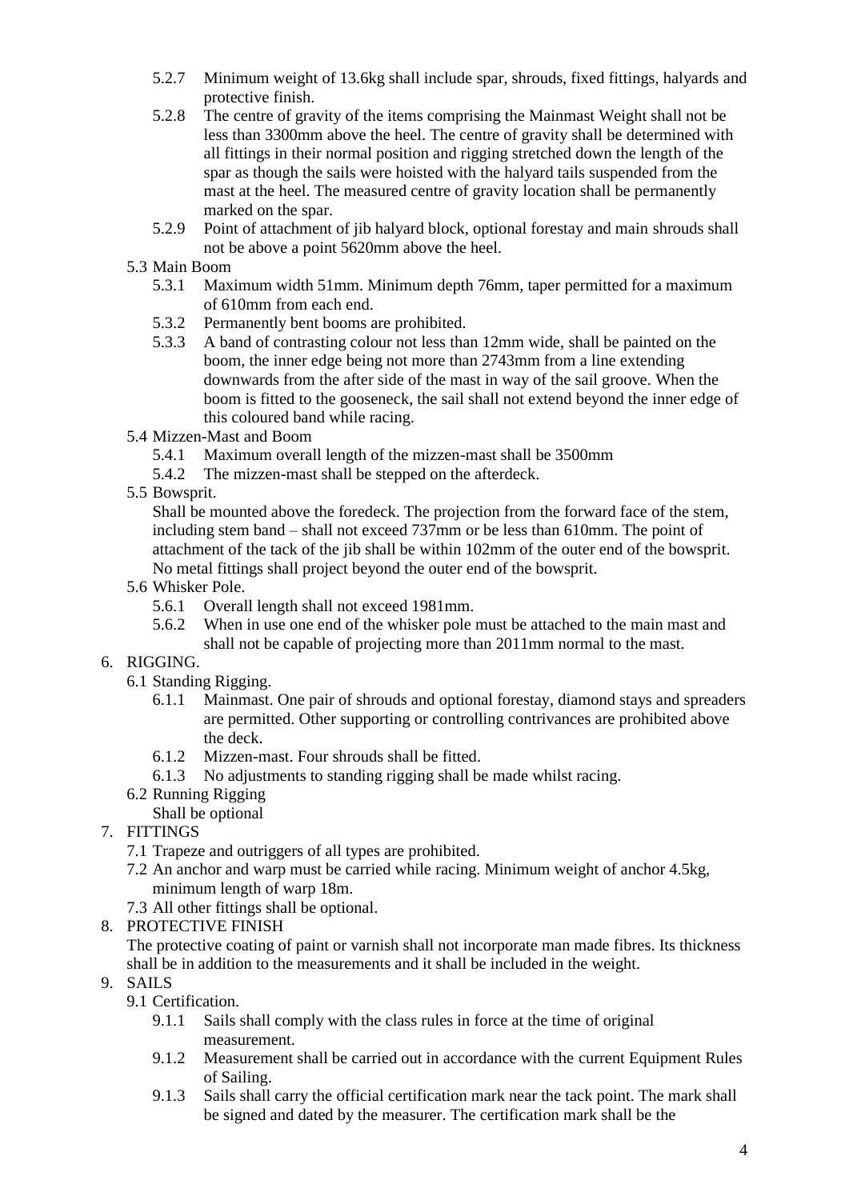- 5.2.7 Minimum weight of 13.6kg shall include spar, shrouds, fixed fittings, halyards and protective finish.
- 5.2.8 The centre of gravity of the items comprising the Mainmast Weight shall not be less than 3300mm above the heel. The centre of gravity shall be determined with all fittings in their normal position and rigging stretched down the length of the spar as though the sails were hoisted with the halyard tails suspended from the mast at the heel. The measured centre of gravity location shall be permanently marked on the spar.
- 5.2.9 Point of attachment of jib halyard block, optional forestay and main shrouds shall not be above a point 5620mm above the heel.
- 5.3 Main Boom
	- 5.3.1 Maximum width 51mm. Minimum depth 76mm, taper permitted for a maximum of 610mm from each end.
	- 5.3.2 Permanently bent booms are prohibited.
	- 5.3.3 A band of contrasting colour not less than 12mm wide, shall be painted on the boom, the inner edge being not more than 2743mm from a line extending downwards from the after side of the mast in way of the sail groove. When the boom is fitted to the gooseneck, the sail shall not extend beyond the inner edge of this coloured band while racing.
- 5.4 Mizzen-Mast and Boom
	- 5.4.1 Maximum overall length of the mizzen-mast shall be 3500mm
	- 5.4.2 The mizzen-mast shall be stepped on the afterdeck.
- 5.5 Bowsprit.

Shall be mounted above the foredeck. The projection from the forward face of the stem, including stem band – shall not exceed 737mm or be less than 610mm. The point of attachment of the tack of the jib shall be within 102mm of the outer end of the bowsprit. No metal fittings shall project beyond the outer end of the bowsprit.

- 5.6 Whisker Pole.
	- 5.6.1 Overall length shall not exceed 1981mm.
	- 5.6.2 When in use one end of the whisker pole must be attached to the main mast and shall not be capable of projecting more than 2011mm normal to the mast.
- 6. RIGGING.
	- 6.1 Standing Rigging.
		- 6.1.1 Mainmast. One pair of shrouds and optional forestay, diamond stays and spreaders are permitted. Other supporting or controlling contrivances are prohibited above the deck.
		- 6.1.2 Mizzen-mast. Four shrouds shall be fitted.
		- 6.1.3 No adjustments to standing rigging shall be made whilst racing.
	- 6.2 Running Rigging
		- Shall be optional
- 7. FITTINGS
	- 7.1 Trapeze and outriggers of all types are prohibited.
	- 7.2 An anchor and warp must be carried while racing. Minimum weight of anchor 4.5kg, minimum length of warp 18m.
	- 7.3 All other fittings shall be optional.
- 8. PROTECTIVE FINISH

The protective coating of paint or varnish shall not incorporate man made fibres. Its thickness shall be in addition to the measurements and it shall be included in the weight.

- 9. SAILS
	- 9.1 Certification.
		- 9.1.1 Sails shall comply with the class rules in force at the time of original measurement.
		- 9.1.2 Measurement shall be carried out in accordance with the current Equipment Rules of Sailing.
		- 9.1.3 Sails shall carry the official certification mark near the tack point. The mark shall be signed and dated by the measurer. The certification mark shall be the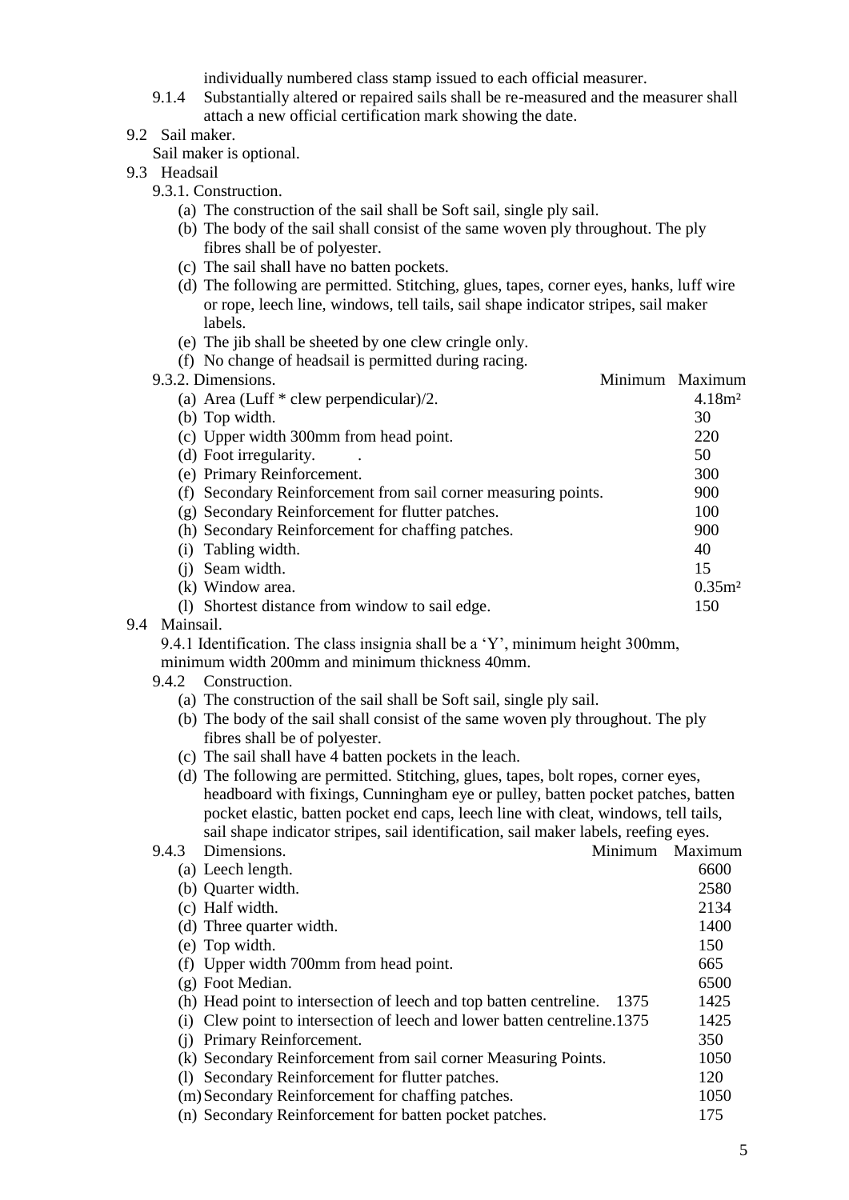individually numbered class stamp issued to each official measurer.

- 9.1.4 Substantially altered or repaired sails shall be re-measured and the measurer shall attach a new official certification mark showing the date.
- 9.2 Sail maker.

Sail maker is optional.

- 9.3 Headsail
	- 9.3.1. Construction.
		- (a) The construction of the sail shall be Soft sail, single ply sail.
		- (b) The body of the sail shall consist of the same woven ply throughout. The ply fibres shall be of polyester.
		- (c) The sail shall have no batten pockets.
		- (d) The following are permitted. Stitching, glues, tapes, corner eyes, hanks, luff wire or rope, leech line, windows, tell tails, sail shape indicator stripes, sail maker labels.
		- (e) The jib shall be sheeted by one clew cringle only.

|  |  | (f) No change of headsail is permitted during racing. |  |  |  |
|--|--|-------------------------------------------------------|--|--|--|
|  |  |                                                       |  |  |  |

| 9.3.2. Dimensions.                                             | Minimum Maximum   |
|----------------------------------------------------------------|-------------------|
| (a) Area (Luff $*$ clew perpendicular)/2.                      | 4.18 <sup>2</sup> |
| (b) Top width.                                                 | 30                |
| (c) Upper width 300mm from head point.                         | 220               |
| (d) Foot irregularity.                                         | 50                |
| (e) Primary Reinforcement.                                     | 300               |
| (f) Secondary Reinforcement from sail corner measuring points. | 900               |
| (g) Secondary Reinforcement for flutter patches.               | 100               |
| (h) Secondary Reinforcement for chaffing patches.              | 900               |
| (i) Tabling width.                                             | 40                |
| Seam width.                                                    | 15                |
| (k) Window area.                                               | 0.35 <sup>m</sup> |
| Shortest distance from window to sail edge.                    | 150               |
|                                                                |                   |

9.4 Mainsail.

9.4.1 Identification. The class insignia shall be a 'Y', minimum height 300mm, minimum width 200mm and minimum thickness 40mm.

- 9.4.2 Construction.
	- (a) The construction of the sail shall be Soft sail, single ply sail.
	- (b) The body of the sail shall consist of the same woven ply throughout. The ply fibres shall be of polyester.
	- (c) The sail shall have 4 batten pockets in the leach.

|       | (d) The following are permitted. Stitching, glues, tapes, bolt ropes, corner eyes,  |         |
|-------|-------------------------------------------------------------------------------------|---------|
|       | headboard with fixings, Cunningham eye or pulley, batten pocket patches, batten     |         |
|       | pocket elastic, batten pocket end caps, leech line with cleat, windows, tell tails, |         |
|       | sail shape indicator stripes, sail identification, sail maker labels, reefing eyes. |         |
| 9.4.3 | Dimensions.<br>Minimum                                                              | Maximum |
|       | (a) Leech length.                                                                   | 6600    |
|       | (b) Quarter width.                                                                  | 2580    |
|       | (c) Half width.                                                                     | 2134    |
|       | (d) Three quarter width.                                                            | 1400    |
|       | (e) Top width.                                                                      | 150     |
|       | (f) Upper width 700mm from head point.                                              | 665     |
|       | (g) Foot Median.                                                                    | 6500    |
|       | (h) Head point to intersection of leech and top batten centreline.<br>1375          | 1425    |
|       | (i) Clew point to intersection of leech and lower batten centreline.1375            | 1425    |
|       | (j) Primary Reinforcement.                                                          | 350     |
|       | (k) Secondary Reinforcement from sail corner Measuring Points.                      | 1050    |
|       | (1) Secondary Reinforcement for flutter patches.                                    | 120     |
|       | (m) Secondary Reinforcement for chaffing patches.                                   | 1050    |
|       | (n) Secondary Reinforcement for batten pocket patches.                              | 175     |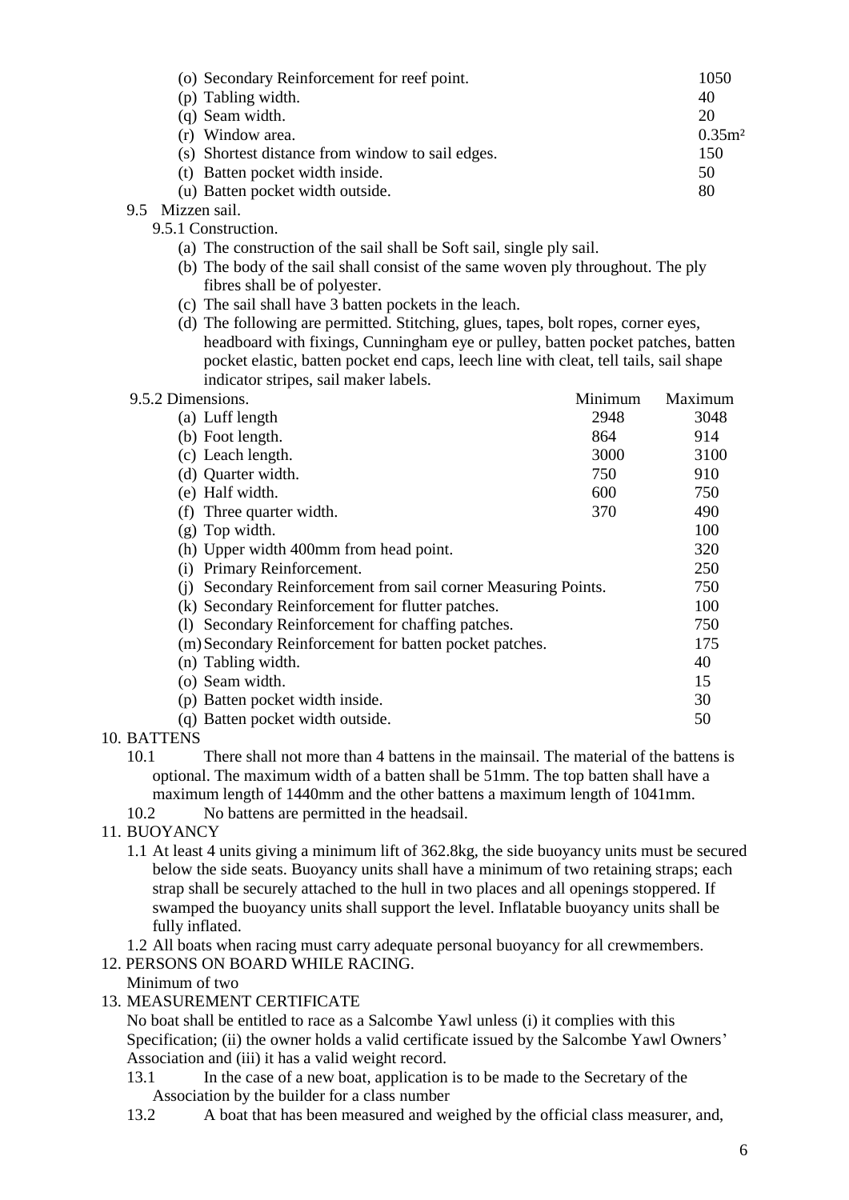| (o) Secondary Reinforcement for reef point.      | 1050              |
|--------------------------------------------------|-------------------|
| (p) Tabling width.                               | 40                |
| (q) Seam width.                                  | 20                |
| (r) Window area.                                 | 0.35 <sup>2</sup> |
| (s) Shortest distance from window to sail edges. | 150               |
| (t) Batten pocket width inside.                  | 50                |
| (u) Batten pocket width outside.                 | 80                |
| $M^* = -1$ $\sim 1$                              |                   |

9.5 Mizzen sail.

9.5.1 Construction.

- (a) The construction of the sail shall be Soft sail, single ply sail.
- (b) The body of the sail shall consist of the same woven ply throughout. The ply fibres shall be of polyester.
- (c) The sail shall have 3 batten pockets in the leach.
- (d) The following are permitted. Stitching, glues, tapes, bolt ropes, corner eyes, headboard with fixings, Cunningham eye or pulley, batten pocket patches, batten pocket elastic, batten pocket end caps, leech line with cleat, tell tails, sail shape indicator stripes, sail maker labels.

| 9.5.2 Dimensions.                                              | Minimum | Maximum |
|----------------------------------------------------------------|---------|---------|
| (a) Luff length                                                | 2948    | 3048    |
| (b) Foot length.                                               | 864     | 914     |
| (c) Leach length.                                              | 3000    | 3100    |
| (d) Quarter width.                                             | 750     | 910     |
| (e) Half width.                                                | 600     | 750     |
| (f) Three quarter width.                                       | 370     | 490     |
| $(g)$ Top width.                                               |         | 100     |
| (h) Upper width 400mm from head point.                         |         | 320     |
| Primary Reinforcement.<br>(1)                                  |         | 250     |
| (j) Secondary Reinforcement from sail corner Measuring Points. |         | 750     |
| (k) Secondary Reinforcement for flutter patches.               |         | 100     |
| (1) Secondary Reinforcement for chaffing patches.              |         | 750     |
| (m) Secondary Reinforcement for batten pocket patches.         |         | 175     |
| (n) Tabling width.                                             |         | 40      |
| (o) Seam width.                                                |         | 15      |
| (p) Batten pocket width inside.                                |         | 30      |
| (q) Batten pocket width outside.                               |         | 50      |
|                                                                |         |         |

#### 10. BATTENS

10.1 There shall not more than 4 battens in the mainsail. The material of the battens is optional. The maximum width of a batten shall be 51mm. The top batten shall have a maximum length of 1440mm and the other battens a maximum length of 1041mm.

10.2 No battens are permitted in the headsail.

- 11. BUOYANCY
	- 1.1 At least 4 units giving a minimum lift of 362.8kg, the side buoyancy units must be secured below the side seats. Buoyancy units shall have a minimum of two retaining straps; each strap shall be securely attached to the hull in two places and all openings stoppered. If swamped the buoyancy units shall support the level. Inflatable buoyancy units shall be fully inflated.

1.2 All boats when racing must carry adequate personal buoyancy for all crewmembers.

#### 12. PERSONS ON BOARD WHILE RACING.

Minimum of two

13. MEASUREMENT CERTIFICATE

No boat shall be entitled to race as a Salcombe Yawl unless (i) it complies with this Specification; (ii) the owner holds a valid certificate issued by the Salcombe Yawl Owners' Association and (iii) it has a valid weight record.

- 13.1 In the case of a new boat, application is to be made to the Secretary of the Association by the builder for a class number
- 13.2 A boat that has been measured and weighed by the official class measurer, and,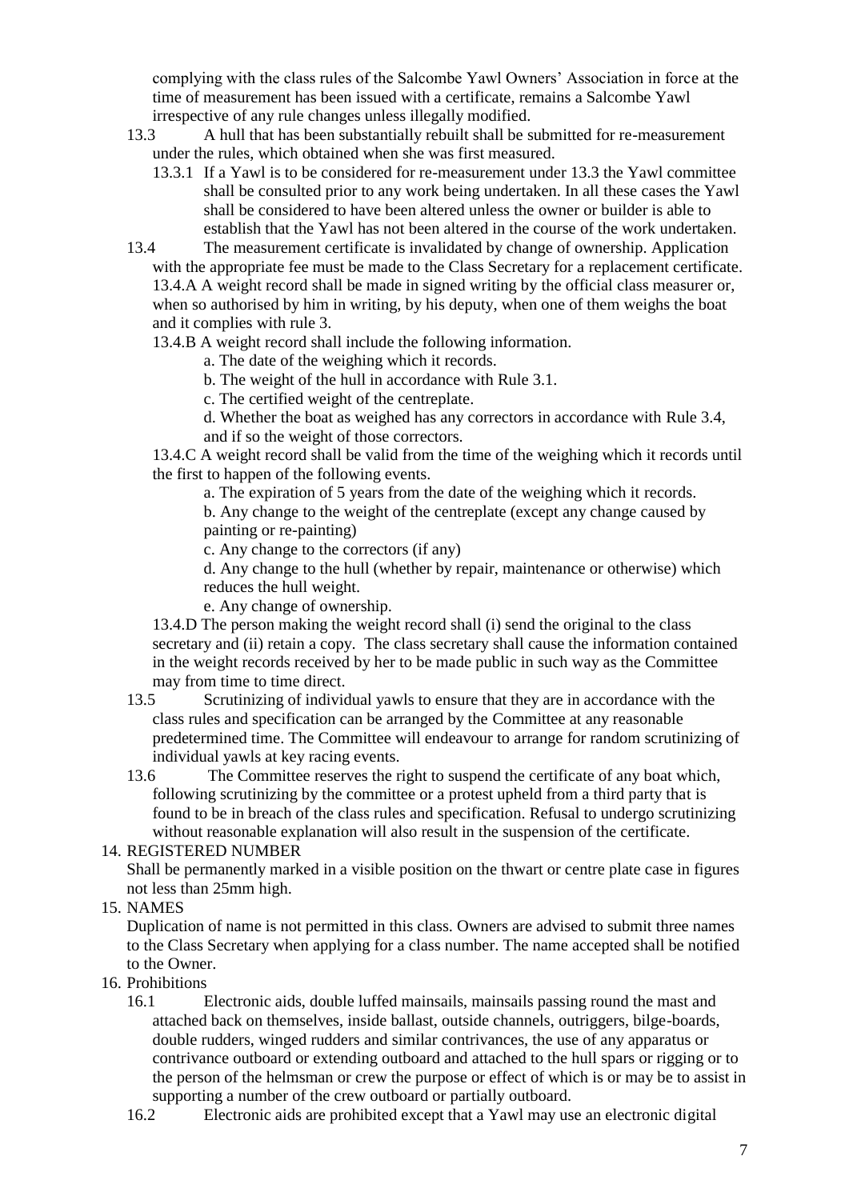complying with the class rules of the Salcombe Yawl Owners' Association in force at the time of measurement has been issued with a certificate, remains a Salcombe Yawl irrespective of any rule changes unless illegally modified.

- 13.3 A hull that has been substantially rebuilt shall be submitted for re-measurement under the rules, which obtained when she was first measured.
	- 13.3.1 If a Yawl is to be considered for re-measurement under 13.3 the Yawl committee shall be consulted prior to any work being undertaken. In all these cases the Yawl shall be considered to have been altered unless the owner or builder is able to establish that the Yawl has not been altered in the course of the work undertaken.
- 13.4 The measurement certificate is invalidated by change of ownership. Application with the appropriate fee must be made to the Class Secretary for a replacement certificate. 13.4.A A weight record shall be made in signed writing by the official class measurer or, when so authorised by him in writing, by his deputy, when one of them weighs the boat and it complies with rule 3.
	- 13.4.B A weight record shall include the following information.
		- a. The date of the weighing which it records.
		- b. The weight of the hull in accordance with Rule 3.1.
		- c. The certified weight of the centreplate.
		- d. Whether the boat as weighed has any correctors in accordance with Rule 3.4, and if so the weight of those correctors.
	- 13.4.C A weight record shall be valid from the time of the weighing which it records until the first to happen of the following events.
		- a. The expiration of 5 years from the date of the weighing which it records.
		- b. Any change to the weight of the centreplate (except any change caused by painting or re-painting)

c. Any change to the correctors (if any)

d. Any change to the hull (whether by repair, maintenance or otherwise) which reduces the hull weight.

e. Any change of ownership.

13.4.D The person making the weight record shall (i) send the original to the class secretary and (ii) retain a copy. The class secretary shall cause the information contained in the weight records received by her to be made public in such way as the Committee may from time to time direct.

- 13.5 Scrutinizing of individual yawls to ensure that they are in accordance with the class rules and specification can be arranged by the Committee at any reasonable predetermined time. The Committee will endeavour to arrange for random scrutinizing of individual yawls at key racing events.
- 13.6 The Committee reserves the right to suspend the certificate of any boat which, following scrutinizing by the committee or a protest upheld from a third party that is found to be in breach of the class rules and specification. Refusal to undergo scrutinizing without reasonable explanation will also result in the suspension of the certificate.

### 14. REGISTERED NUMBER

Shall be permanently marked in a visible position on the thwart or centre plate case in figures not less than 25mm high.

15. NAMES

Duplication of name is not permitted in this class. Owners are advised to submit three names to the Class Secretary when applying for a class number. The name accepted shall be notified to the Owner.

## 16. Prohibitions

- 16.1 Electronic aids, double luffed mainsails, mainsails passing round the mast and attached back on themselves, inside ballast, outside channels, outriggers, bilge-boards, double rudders, winged rudders and similar contrivances, the use of any apparatus or contrivance outboard or extending outboard and attached to the hull spars or rigging or to the person of the helmsman or crew the purpose or effect of which is or may be to assist in supporting a number of the crew outboard or partially outboard.
- 16.2 Electronic aids are prohibited except that a Yawl may use an electronic digital